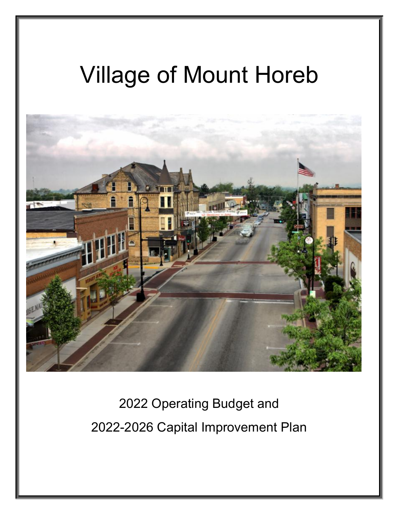# Village of Mount Horeb



2022 Operating Budget and 2022-2026 Capital Improvement Plan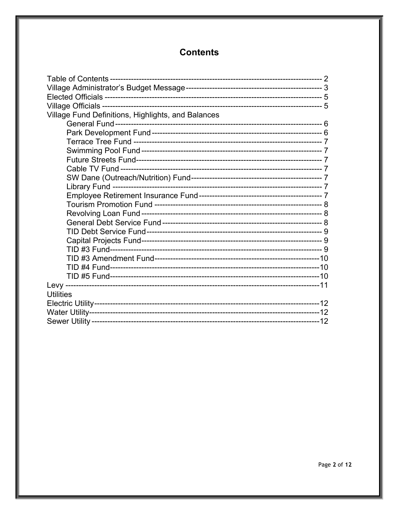## **Contents**

| Village Fund Definitions, Highlights, and Balances |  |
|----------------------------------------------------|--|
|                                                    |  |
|                                                    |  |
|                                                    |  |
|                                                    |  |
|                                                    |  |
|                                                    |  |
|                                                    |  |
|                                                    |  |
|                                                    |  |
|                                                    |  |
|                                                    |  |
|                                                    |  |
|                                                    |  |
|                                                    |  |
|                                                    |  |
|                                                    |  |
|                                                    |  |
|                                                    |  |
|                                                    |  |
| <b>Utilities</b>                                   |  |
|                                                    |  |
|                                                    |  |
|                                                    |  |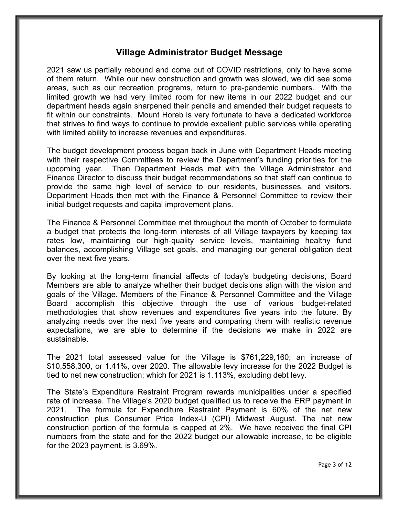#### **Village Administrator Budget Message**

2021 saw us partially rebound and come out of COVID restrictions, only to have some of them return. While our new construction and growth was slowed, we did see some areas, such as our recreation programs, return to pre-pandemic numbers. With the limited growth we had very limited room for new items in our 2022 budget and our department heads again sharpened their pencils and amended their budget requests to fit within our constraints. Mount Horeb is very fortunate to have a dedicated workforce that strives to find ways to continue to provide excellent public services while operating with limited ability to increase revenues and expenditures.

The budget development process began back in June with Department Heads meeting with their respective Committees to review the Department's funding priorities for the upcoming year. Then Department Heads met with the Village Administrator and Finance Director to discuss their budget recommendations so that staff can continue to provide the same high level of service to our residents, businesses, and visitors. Department Heads then met with the Finance & Personnel Committee to review their initial budget requests and capital improvement plans.

The Finance & Personnel Committee met throughout the month of October to formulate a budget that protects the long-term interests of all Village taxpayers by keeping tax rates low, maintaining our high-quality service levels, maintaining healthy fund balances, accomplishing Village set goals, and managing our general obligation debt over the next five years.

By looking at the long-term financial affects of today's budgeting decisions, Board Members are able to analyze whether their budget decisions align with the vision and goals of the Village. Members of the Finance & Personnel Committee and the Village Board accomplish this objective through the use of various budget-related methodologies that show revenues and expenditures five years into the future. By analyzing needs over the next five years and comparing them with realistic revenue expectations, we are able to determine if the decisions we make in 2022 are sustainable.

The 2021 total assessed value for the Village is \$761,229,160; an increase of \$10,558,300, or 1.41%, over 2020. The allowable levy increase for the 2022 Budget is tied to net new construction; which for 2021 is 1.113%, excluding debt levy.

The State's Expenditure Restraint Program rewards municipalities under a specified rate of increase. The Village's 2020 budget qualified us to receive the ERP payment in 2021. The formula for Expenditure Restraint Payment is 60% of the net new construction plus Consumer Price Index-U (CPI) Midwest August. The net new construction portion of the formula is capped at 2%. We have received the final CPI numbers from the state and for the 2022 budget our allowable increase, to be eligible for the 2023 payment, is 3.69%.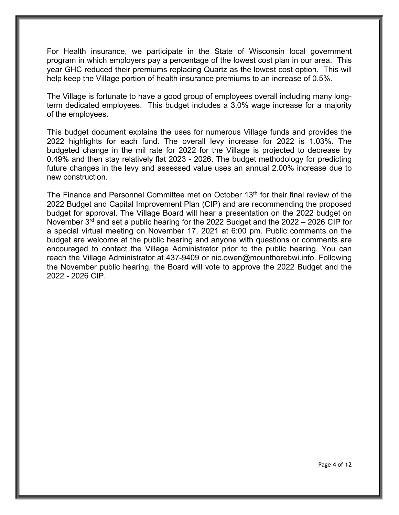For Health insurance, we participate in the State of Wisconsin local government program in which employers pay a percentage of the lowest cost plan in our area. This year GHC reduced their premiums replacing Quartz as the lowest cost option. This will help keep the Village portion of health insurance premiums to an increase of 0.5%.

The Village is fortunate to have a good group of employees overall including many longterm dedicated employees. This budget includes a 3.0% wage increase for a majority of the employees.

This budget document explains the uses for numerous Village funds and provides the 2022 highlights for each fund. The overall levy increase for 2022 is 1.03%. The budgeted change in the mil rate for 2022 for the Village is projected to decrease by 0.49% and then stay relatively flat 2023 - 2026. The budget methodology for predicting future changes in the levy and assessed value uses an annual 2.00% increase due to new construction.

The Finance and Personnel Committee met on October 13<sup>th</sup> for their final review of the 2022 Budget and Capital Improvement Plan (CIP) and are recommending the proposed budget for approval. The Village Board will hear a presentation on the 2022 budget on November  $3<sup>rd</sup>$  and set a public hearing for the 2022 Budget and the 2022 – 2026 CIP for a special virtual meeting on November 17, 2021 at 6:00 pm. Public comments on the budget are welcome at the public hearing and anyone with questions or comments are encouraged to contact the Village Administrator prior to the public hearing. You can reach the Village Administrator at 437-9409 or nic.owen@mounthorebwi.info. Following the November public hearing, the Board will vote to approve the 2022 Budget and the 2022 - 2026 CIP.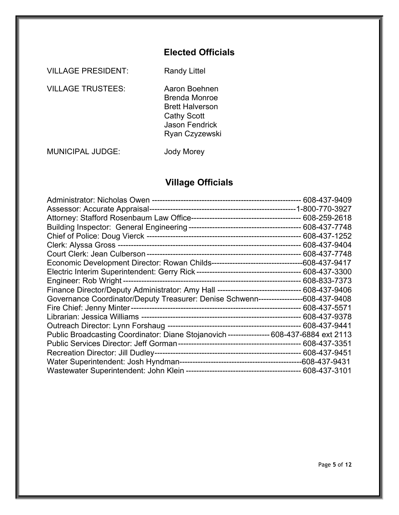## **Elected Officials**

VILLAGE PRESIDENT: Randy Littel

VILLAGE TRUSTEES: Aaron Boehnen

Brenda Monroe Brett Halverson Cathy Scott Jason Fendrick Ryan Czyzewski

MUNICIPAL JUDGE: Jody Morey

## **Village Officials**

| Finance Director/Deputy Administrator: Amy Hall -------------------------------- 608-437-9406 |  |
|-----------------------------------------------------------------------------------------------|--|
| Governance Coordinator/Deputy Treasurer: Denise Schwenn-----------------608-437-9408          |  |
|                                                                                               |  |
|                                                                                               |  |
|                                                                                               |  |
| Public Broadcasting Coordinator: Diane Stojanovich --------------- 608-437-6884 ext 2113      |  |
|                                                                                               |  |
|                                                                                               |  |
|                                                                                               |  |
|                                                                                               |  |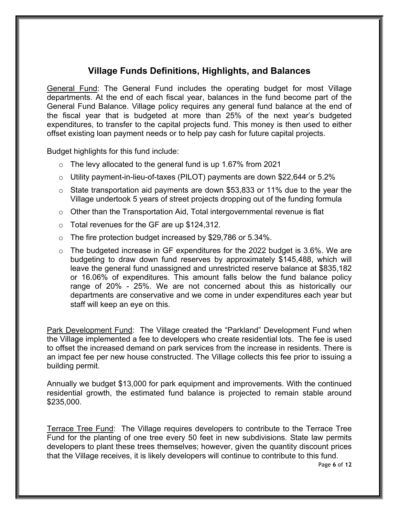## **Village Funds Definitions, Highlights, and Balances**

General Fund: The General Fund includes the operating budget for most Village departments. At the end of each fiscal year, balances in the fund become part of the General Fund Balance. Village policy requires any general fund balance at the end of the fiscal year that is budgeted at more than 25% of the next year's budgeted expenditures, to transfer to the capital projects fund. This money is then used to either offset existing loan payment needs or to help pay cash for future capital projects.

Budget highlights for this fund include:

- o The levy allocated to the general fund is up 1.67% from 2021
- o Utility payment-in-lieu-of-taxes (PILOT) payments are down \$22,644 or 5.2%
- o State transportation aid payments are down \$53,833 or 11% due to the year the Village undertook 5 years of street projects dropping out of the funding formula
- o Other than the Transportation Aid, Total intergovernmental revenue is flat
- o Total revenues for the GF are up \$124,312.
- o The fire protection budget increased by \$29,786 or 5.34%.
- o The budgeted increase in GF expenditures for the 2022 budget is 3.6%. We are budgeting to draw down fund reserves by approximately \$145,488, which will leave the general fund unassigned and unrestricted reserve balance at \$835,182 or 16.06% of expenditures. This amount falls below the fund balance policy range of 20% - 25%. We are not concerned about this as historically our departments are conservative and we come in under expenditures each year but staff will keep an eye on this.

Park Development Fund: The Village created the "Parkland" Development Fund when the Village implemented a fee to developers who create residential lots. The fee is used to offset the increased demand on park services from the increase in residents. There is an impact fee per new house constructed. The Village collects this fee prior to issuing a building permit.

Annually we budget \$13,000 for park equipment and improvements. With the continued residential growth, the estimated fund balance is projected to remain stable around \$235,000.

Terrace Tree Fund: The Village requires developers to contribute to the Terrace Tree Fund for the planting of one tree every 50 feet in new subdivisions. State law permits developers to plant these trees themselves; however, given the quantity discount prices that the Village receives, it is likely developers will continue to contribute to this fund.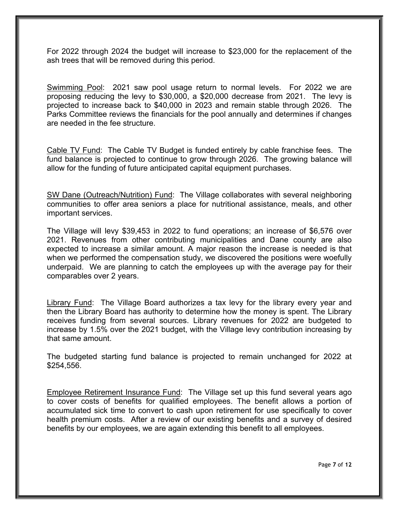For 2022 through 2024 the budget will increase to \$23,000 for the replacement of the ash trees that will be removed during this period.

Swimming Pool: 2021 saw pool usage return to normal levels. For 2022 we are proposing reducing the levy to \$30,000, a \$20,000 decrease from 2021. The levy is projected to increase back to \$40,000 in 2023 and remain stable through 2026. The Parks Committee reviews the financials for the pool annually and determines if changes are needed in the fee structure.

Cable TV Fund: The Cable TV Budget is funded entirely by cable franchise fees. The fund balance is projected to continue to grow through 2026. The growing balance will allow for the funding of future anticipated capital equipment purchases.

SW Dane (Outreach/Nutrition) Fund: The Village collaborates with several neighboring communities to offer area seniors a place for nutritional assistance, meals, and other important services.

The Village will levy \$39,453 in 2022 to fund operations; an increase of \$6,576 over 2021. Revenues from other contributing municipalities and Dane county are also expected to increase a similar amount. A major reason the increase is needed is that when we performed the compensation study, we discovered the positions were woefully underpaid. We are planning to catch the employees up with the average pay for their comparables over 2 years.

Library Fund: The Village Board authorizes a tax levy for the library every year and then the Library Board has authority to determine how the money is spent. The Library receives funding from several sources. Library revenues for 2022 are budgeted to increase by 1.5% over the 2021 budget, with the Village levy contribution increasing by that same amount.

The budgeted starting fund balance is projected to remain unchanged for 2022 at \$254,556.

Employee Retirement Insurance Fund: The Village set up this fund several years ago to cover costs of benefits for qualified employees. The benefit allows a portion of accumulated sick time to convert to cash upon retirement for use specifically to cover health premium costs. After a review of our existing benefits and a survey of desired benefits by our employees, we are again extending this benefit to all employees.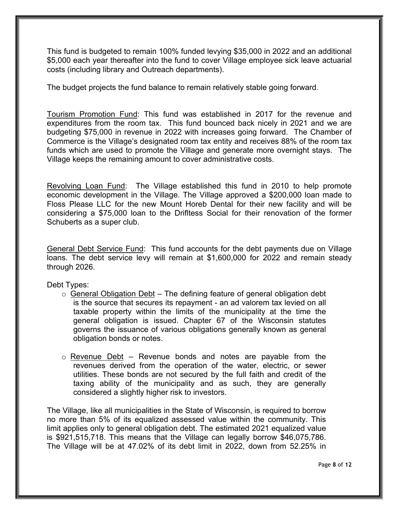This fund is budgeted to remain 100% funded levying \$35,000 in 2022 and an additional \$5,000 each year thereafter into the fund to cover Village employee sick leave actuarial costs (including library and Outreach departments).

The budget projects the fund balance to remain relatively stable going forward.

Tourism Promotion Fund: This fund was established in 2017 for the revenue and expenditures from the room tax. This fund bounced back nicely in 2021 and we are budgeting \$75,000 in revenue in 2022 with increases going forward. The Chamber of Commerce is the Village's designated room tax entity and receives 88% of the room tax funds which are used to promote the Village and generate more overnight stays. The Village keeps the remaining amount to cover administrative costs.

Revolving Loan Fund: The Village established this fund in 2010 to help promote economic development in the Village. The Village approved a \$200,000 loan made to Floss Please LLC for the new Mount Horeb Dental for their new facility and will be considering a \$75,000 loan to the Drifltess Social for their renovation of the former Schuberts as a super club.

General Debt Service Fund: This fund accounts for the debt payments due on Village loans. The debt service levy will remain at \$1,600,000 for 2022 and remain steady through 2026.

Debt Types:

- $\circ$  General Obligation Debt The defining feature of general obligation debt is the source that secures its repayment - an ad valorem tax levied on all taxable property within the limits of the municipality at the time the general obligation is issued. Chapter 67 of the Wisconsin statutes governs the issuance of various obligations generally known as general obligation bonds or notes.
- $\circ$  Revenue Debt Revenue bonds and notes are payable from the revenues derived from the operation of the water, electric, or sewer utilities. These bonds are not secured by the full faith and credit of the taxing ability of the municipality and as such, they are generally considered a slightly higher risk to investors.

The Village, like all municipalities in the State of Wisconsin, is required to borrow no more than 5% of its equalized assessed value within the community. This limit applies only to general obligation debt. The estimated 2021 equalized value is \$921,515,718. This means that the Village can legally borrow \$46,075,786. The Village will be at 47.02% of its debt limit in 2022, down from 52.25% in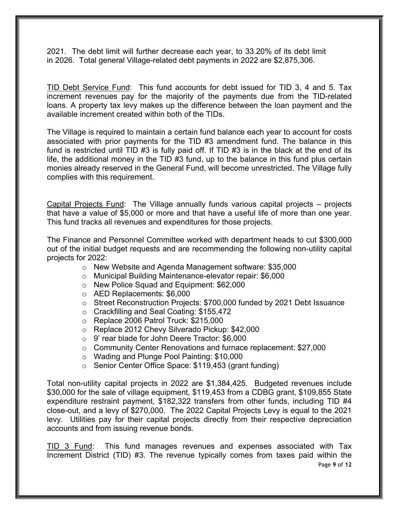2021. The debt limit will further decrease each year, to 33.20% of its debt limit in 2026. Total general Village-related debt payments in 2022 are \$2,875,306.

TID Debt Service Fund: This fund accounts for debt issued for TID 3, 4 and 5. Tax increment revenues pay for the majority of the payments due from the TID-related loans. A property tax levy makes up the difference between the loan payment and the available increment created within both of the TIDs.

The Village is required to maintain a certain fund balance each year to account for costs associated with prior payments for the TID #3 amendment fund. The balance in this fund is restricted until TID #3 is fully paid off. If TID #3 is in the black at the end of its life, the additional money in the TID #3 fund, up to the balance in this fund plus certain monies already reserved in the General Fund, will become unrestricted. The Village fully complies with this requirement.

Capital Projects Fund: The Village annually funds various capital projects – projects that have a value of \$5,000 or more and that have a useful life of more than one year. This fund tracks all revenues and expenditures for those projects.

The Finance and Personnel Committee worked with department heads to cut \$300,000 out of the initial budget requests and are recommending the following non-utility capital projects for 2022:

- o New Website and Agenda Management software: \$35,000
- o Municipal Building Maintenance-elevator repair: \$6,000
- o New Police Squad and Equipment: \$62,000
- o AED Replacements: \$6,000
- $\circ$  Street Reconstruction Projects: \$700,000 funded by 2021 Debt Issuance
- o Crackfilling and Seal Coating: \$155,472
- o Replace 2006 Patrol Truck: \$215,000
- o Replace 2012 Chevy Silverado Pickup: \$42,000
- o 9' rear blade for John Deere Tractor: \$6,000
- o Community Center Renovations and furnace replacement: \$27,000
- o Wading and Plunge Pool Painting: \$10,000
- o Senior Center Office Space: \$119,453 (grant funding)

Total non-utility capital projects in 2022 are \$1,384,425. Budgeted revenues include \$30,000 for the sale of village equipment, \$119,453 from a CDBG grant, \$109,855 State expenditure restraint payment, \$182,322 transfers from other funds, including TID #4 close-out, and a levy of \$270,000. The 2022 Capital Projects Levy is equal to the 2021 levy. Utilities pay for their capital projects directly from their respective depreciation accounts and from issuing revenue bonds.

Page **9** of **12** TID 3 Fund: This fund manages revenues and expenses associated with Tax Increment District (TID) #3. The revenue typically comes from taxes paid within the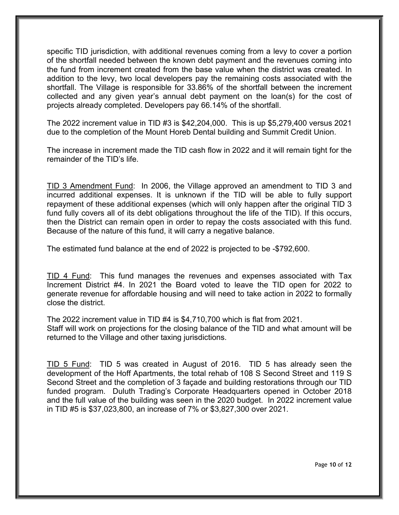specific TID jurisdiction, with additional revenues coming from a levy to cover a portion of the shortfall needed between the known debt payment and the revenues coming into the fund from increment created from the base value when the district was created. In addition to the levy, two local developers pay the remaining costs associated with the shortfall. The Village is responsible for 33.86% of the shortfall between the increment collected and any given year's annual debt payment on the loan(s) for the cost of projects already completed. Developers pay 66.14% of the shortfall.

The 2022 increment value in TID #3 is \$42,204,000. This is up \$5,279,400 versus 2021 due to the completion of the Mount Horeb Dental building and Summit Credit Union.

The increase in increment made the TID cash flow in 2022 and it will remain tight for the remainder of the TID's life.

TID 3 Amendment Fund: In 2006, the Village approved an amendment to TID 3 and incurred additional expenses. It is unknown if the TID will be able to fully support repayment of these additional expenses (which will only happen after the original TID 3 fund fully covers all of its debt obligations throughout the life of the TID). If this occurs, then the District can remain open in order to repay the costs associated with this fund. Because of the nature of this fund, it will carry a negative balance.

The estimated fund balance at the end of 2022 is projected to be -\$792,600.

TID 4 Fund: This fund manages the revenues and expenses associated with Tax Increment District #4. In 2021 the Board voted to leave the TID open for 2022 to generate revenue for affordable housing and will need to take action in 2022 to formally close the district.

The 2022 increment value in TID #4 is \$4,710,700 which is flat from 2021. Staff will work on projections for the closing balance of the TID and what amount will be returned to the Village and other taxing jurisdictions.

TID 5 Fund: TID 5 was created in August of 2016. TID 5 has already seen the development of the Hoff Apartments, the total rehab of 108 S Second Street and 119 S Second Street and the completion of 3 façade and building restorations through our TID funded program. Duluth Trading's Corporate Headquarters opened in October 2018 and the full value of the building was seen in the 2020 budget. In 2022 increment value in TID #5 is \$37,023,800, an increase of 7% or \$3,827,300 over 2021.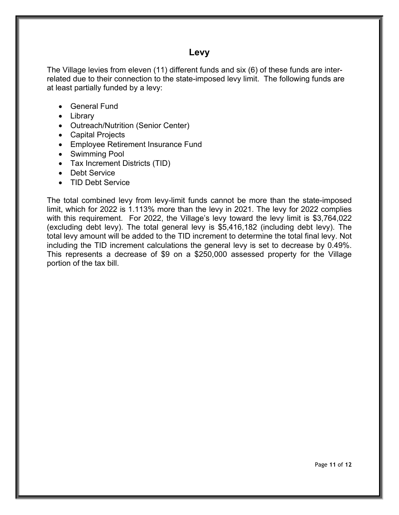### **Levy**

The Village levies from eleven (11) different funds and six (6) of these funds are interrelated due to their connection to the state-imposed levy limit. The following funds are at least partially funded by a levy:

- General Fund
- Library
- Outreach/Nutrition (Senior Center)
- Capital Projects
- Employee Retirement Insurance Fund
- Swimming Pool
- Tax Increment Districts (TID)
- Debt Service
- TID Debt Service

The total combined levy from levy-limit funds cannot be more than the state-imposed limit, which for 2022 is 1.113% more than the levy in 2021. The levy for 2022 complies with this requirement. For 2022, the Village's levy toward the levy limit is \$3,764,022 (excluding debt levy). The total general levy is \$5,416,182 (including debt levy). The total levy amount will be added to the TID increment to determine the total final levy. Not including the TID increment calculations the general levy is set to decrease by 0.49%. This represents a decrease of \$9 on a \$250,000 assessed property for the Village portion of the tax bill.